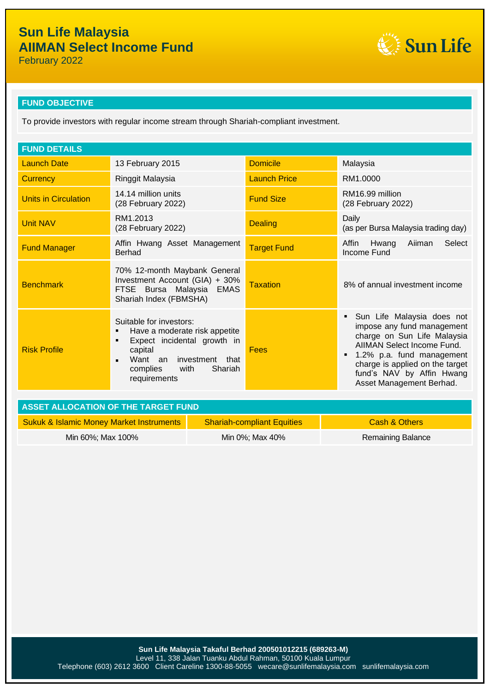Sun Life

February 2022

# **FUND OBJECTIVE**

To provide investors with regular income stream through Shariah-compliant investment.

| <b>FUND DETAILS</b>                                                                   |                                                                                                                                                                                                          |                     |                                                                                                                                                                                                                                                |  |  |
|---------------------------------------------------------------------------------------|----------------------------------------------------------------------------------------------------------------------------------------------------------------------------------------------------------|---------------------|------------------------------------------------------------------------------------------------------------------------------------------------------------------------------------------------------------------------------------------------|--|--|
| <b>Launch Date</b>                                                                    | 13 February 2015                                                                                                                                                                                         | <b>Domicile</b>     | Malaysia                                                                                                                                                                                                                                       |  |  |
| <b>Currency</b>                                                                       | Ringgit Malaysia                                                                                                                                                                                         | <b>Launch Price</b> | RM1.0000                                                                                                                                                                                                                                       |  |  |
| <b>Units in Circulation</b>                                                           | 14.14 million units<br>(28 February 2022)                                                                                                                                                                | <b>Fund Size</b>    | RM16.99 million<br>(28 February 2022)                                                                                                                                                                                                          |  |  |
| <b>Unit NAV</b>                                                                       | RM1.2013<br>(28 February 2022)                                                                                                                                                                           | <b>Dealing</b>      | Daily<br>(as per Bursa Malaysia trading day)                                                                                                                                                                                                   |  |  |
| <b>Fund Manager</b>                                                                   | Affin Hwang Asset Management<br><b>Berhad</b>                                                                                                                                                            | <b>Target Fund</b>  | Select<br>Aiiman<br>Affin<br>Hwang<br>Income Fund                                                                                                                                                                                              |  |  |
| <b>Benchmark</b>                                                                      | 70% 12-month Maybank General<br>Investment Account (GIA) + 30%<br>FTSE Bursa Malaysia<br><b>EMAS</b><br>Shariah Index (FBMSHA)                                                                           | <b>Taxation</b>     | 8% of annual investment income                                                                                                                                                                                                                 |  |  |
| <b>Risk Profile</b>                                                                   | Suitable for investors:<br>Have a moderate risk appetite<br>٠<br>Expect incidental growth in<br>٠<br>capital<br>Want an investment that<br>$\blacksquare$<br>Shariah<br>complies<br>with<br>requirements | Fees                | Sun Life Malaysia does not<br>impose any fund management<br>charge on Sun Life Malaysia<br>AIIMAN Select Income Fund.<br>1.2% p.a. fund management<br>charge is applied on the target<br>fund's NAV by Affin Hwang<br>Asset Management Berhad. |  |  |
| $\lambda$ oct $\lambda$ , and $\lambda$ and $\lambda$ and $\lambda$ the transfer than |                                                                                                                                                                                                          |                     |                                                                                                                                                                                                                                                |  |  |

| ASSET ALLOCATION OF THE TARGET FUND                 |                                   |                          |  |  |
|-----------------------------------------------------|-----------------------------------|--------------------------|--|--|
| <b>Sukuk &amp; Islamic Money Market Instruments</b> | <b>Shariah-compliant Equities</b> | Cash & Others            |  |  |
| Min 60%; Max 100%                                   | Min 0%; Max 40%                   | <b>Remaining Balance</b> |  |  |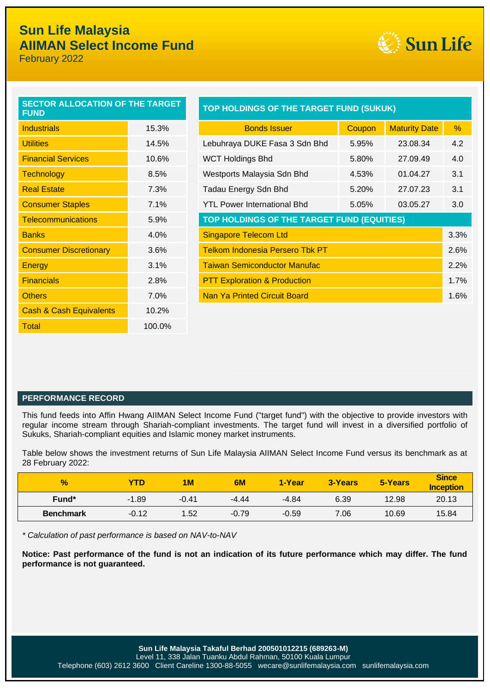### L<br>L **Sun Life Malaysia AIIMAN Select Income Fund**

February 2022



| <b>SECTOR ALLOCATION OF THE TARGET</b><br><b>FUND</b> |        |  |  |
|-------------------------------------------------------|--------|--|--|
| <b>Industrials</b>                                    | 15.3%  |  |  |
| <b>Utilities</b>                                      | 14.5%  |  |  |
| <b>Financial Services</b>                             | 10.6%  |  |  |
| <b>Technology</b>                                     | 8.5%   |  |  |
| <b>Real Estate</b>                                    | 7.3%   |  |  |
| <b>Consumer Staples</b>                               | 7.1%   |  |  |
| <b>Telecommunications</b>                             | 5.9%   |  |  |
| <b>Banks</b>                                          | 4.0%   |  |  |
| <b>Consumer Discretionary</b>                         | 3.6%   |  |  |
| <b>Energy</b>                                         | 3.1%   |  |  |
| <b>Financials</b>                                     | 2.8%   |  |  |
| <b>Others</b>                                         | 7.0%   |  |  |
| <b>Cash &amp; Cash Equivalents</b>                    | 10.2%  |  |  |
| Total                                                 | 100.0% |  |  |

| <b>SECTOR ALLOCATION OF THE TARGET</b><br><b>FUND</b>             |       | TOP HOLDINGS OF THE TARGET FUND (SUKUK)    |        |                      |      |  |
|-------------------------------------------------------------------|-------|--------------------------------------------|--------|----------------------|------|--|
| <b>Industrials</b>                                                | 15.3% | <b>Bonds Issuer</b>                        | Coupon | <b>Maturity Date</b> | %    |  |
| <b>Utilities</b>                                                  | 14.5% | Lebuhraya DUKE Fasa 3 Sdn Bhd              | 5.95%  | 23.08.34             | 4.2  |  |
| <b>Financial Services</b>                                         | 10.6% | <b>WCT Holdings Bhd</b>                    | 5.80%  | 27.09.49             | 4.0  |  |
| <b>Technology</b>                                                 | 8.5%  | Westports Malaysia Sdn Bhd                 | 4.53%  | 01.04.27             | 3.1  |  |
| <b>Real Estate</b>                                                | 7.3%  | Tadau Energy Sdn Bhd                       | 5.20%  | 27.07.23             | 3.1  |  |
| <b>Consumer Staples</b>                                           | 7.1%  | <b>YTL Power International Bhd</b>         | 5.05%  | 03.05.27             | 3.0  |  |
| <b>Telecommunications</b>                                         | 5.9%  | TOP HOLDINGS OF THE TARGET FUND (EQUITIES) |        |                      |      |  |
| <b>Banks</b>                                                      | 4.0%  | <b>Singapore Telecom Ltd</b><br>3.3%       |        |                      |      |  |
| <b>Consumer Discretionary</b>                                     | 3.6%  | <b>Telkom Indonesia Persero Tbk PT</b>     |        |                      | 2.6% |  |
| Energy                                                            | 3.1%  | <b>Taiwan Semiconductor Manufac</b>        |        |                      | 2.2% |  |
| <b>Financials</b>                                                 | 2.8%  | <b>PTT Exploration &amp; Production</b>    |        |                      | 1.7% |  |
| <b>Others</b>                                                     | 7.0%  | <b>Nan Ya Printed Circuit Board</b>        |        |                      | 1.6% |  |
| $\bigcap_{i=1}^n A_i$ $\bigcap_{i=1}^n A_i$ $\bigcap_{i=1}^n A_i$ | 1000  |                                            |        |                      |      |  |

### **PERFORMANCE RECORD**

This fund feeds into Affin Hwang AIIMAN Select Income Fund ("target fund") with the objective to provide investors with regular income stream through Shariah-compliant investments. The target fund will invest in a diversified portfolio of Sukuks, Shariah-compliant equities and Islamic money market instruments.

Table below shows the investment returns of Sun Life Malaysia AIIMAN Select Income Fund versus its benchmark as at 28 February 2022:

| $\frac{1}{2}$    | YTD     | 1M      | 6M      | 1-Year  | 3-Years | 5-Years | <b>Since</b><br><b>Inception</b> |
|------------------|---------|---------|---------|---------|---------|---------|----------------------------------|
| Fund*            | $-1.89$ | $-0.41$ | $-4.44$ | $-4.84$ | 6.39    | 12.98   | 20.13                            |
| <b>Benchmark</b> | $-0.12$ | 1.52    | $-0.79$ | $-0.59$ | 7.06    | 10.69   | 15.84                            |

*\* Calculation of past performance is based on NAV-to-NAV*

**Notice: Past performance of the fund is not an indication of its future performance which may differ. The fund performance is not guaranteed.**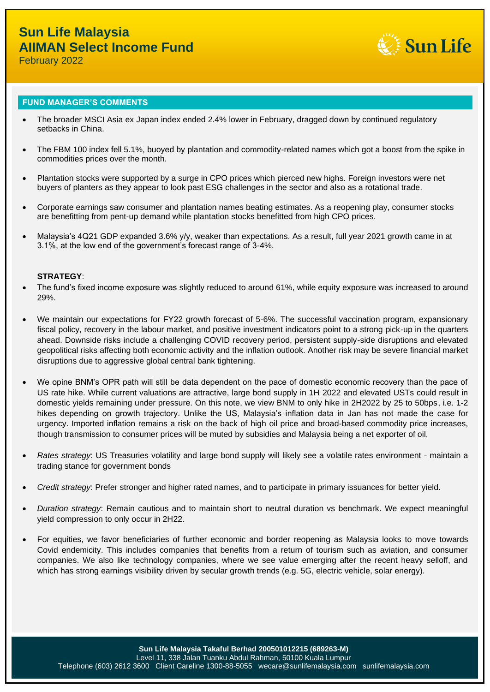

February 2022

### **FUND MANAGER'S COMMENTS**

- The broader MSCI Asia ex Japan index ended 2.4% lower in February, dragged down by continued regulatory setbacks in China.
- The FBM 100 index fell 5.1%, buoyed by plantation and commodity-related names which got a boost from the spike in commodities prices over the month.
- Plantation stocks were supported by a surge in CPO prices which pierced new highs. Foreign investors were net buyers of planters as they appear to look past ESG challenges in the sector and also as a rotational trade.
- Corporate earnings saw consumer and plantation names beating estimates. As a reopening play, consumer stocks are benefitting from pent-up demand while plantation stocks benefitted from high CPO prices.
- Malaysia's 4Q21 GDP expanded 3.6% y/y, weaker than expectations. As a result, full year 2021 growth came in at 3.1%, at the low end of the government's forecast range of 3-4%.

### **STRATEGY**:

- The fund's fixed income exposure was slightly reduced to around 61%, while equity exposure was increased to around 29%.
- We maintain our expectations for FY22 growth forecast of 5-6%. The successful vaccination program, expansionary fiscal policy, recovery in the labour market, and positive investment indicators point to a strong pick-up in the quarters ahead. Downside risks include a challenging COVID recovery period, persistent supply-side disruptions and elevated geopolitical risks affecting both economic activity and the inflation outlook. Another risk may be severe financial market disruptions due to aggressive global central bank tightening.
- We opine BNM's OPR path will still be data dependent on the pace of domestic economic recovery than the pace of US rate hike. While current valuations are attractive, large bond supply in 1H 2022 and elevated USTs could result in domestic yields remaining under pressure. On this note, we view BNM to only hike in 2H2022 by 25 to 50bps, i.e. 1-2 hikes depending on growth trajectory. Unlike the US, Malaysia's inflation data in Jan has not made the case for urgency. Imported inflation remains a risk on the back of high oil price and broad-based commodity price increases, though transmission to consumer prices will be muted by subsidies and Malaysia being a net exporter of oil.
- *Rates strategy*: US Treasuries volatility and large bond supply will likely see a volatile rates environment maintain a trading stance for government bonds
- *Credit strategy*: Prefer stronger and higher rated names, and to participate in primary issuances for better yield.
- *Duration strategy*: Remain cautious and to maintain short to neutral duration vs benchmark. We expect meaningful yield compression to only occur in 2H22.
- For equities, we favor beneficiaries of further economic and border reopening as Malaysia looks to move towards Covid endemicity. This includes companies that benefits from a return of tourism such as aviation, and consumer companies. We also like technology companies, where we see value emerging after the recent heavy selloff, and which has strong earnings visibility driven by secular growth trends (e.g. 5G, electric vehicle, solar energy).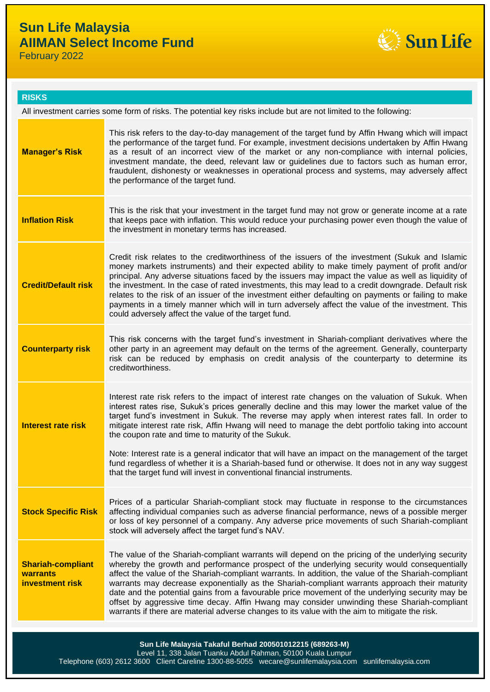# **Sun Life Malaysia AIIMAN Select Income Fund**

February 2022



### **RISKS**

| All investment carries some form of risks. The potential key risks include but are not limited to the following: |                                                                                                                                                                                                                                                                                                                                                                                                                                                                                                                                                                                                                                                                                                                                                             |  |  |
|------------------------------------------------------------------------------------------------------------------|-------------------------------------------------------------------------------------------------------------------------------------------------------------------------------------------------------------------------------------------------------------------------------------------------------------------------------------------------------------------------------------------------------------------------------------------------------------------------------------------------------------------------------------------------------------------------------------------------------------------------------------------------------------------------------------------------------------------------------------------------------------|--|--|
| <b>Manager's Risk</b>                                                                                            | This risk refers to the day-to-day management of the target fund by Affin Hwang which will impact<br>the performance of the target fund. For example, investment decisions undertaken by Affin Hwang<br>as a result of an incorrect view of the market or any non-compliance with internal policies,<br>investment mandate, the deed, relevant law or guidelines due to factors such as human error,<br>fraudulent, dishonesty or weaknesses in operational process and systems, may adversely affect<br>the performance of the target fund.                                                                                                                                                                                                                |  |  |
| <b>Inflation Risk</b>                                                                                            | This is the risk that your investment in the target fund may not grow or generate income at a rate<br>that keeps pace with inflation. This would reduce your purchasing power even though the value of<br>the investment in monetary terms has increased.                                                                                                                                                                                                                                                                                                                                                                                                                                                                                                   |  |  |
| <b>Credit/Default risk</b>                                                                                       | Credit risk relates to the creditworthiness of the issuers of the investment (Sukuk and Islamic<br>money markets instruments) and their expected ability to make timely payment of profit and/or<br>principal. Any adverse situations faced by the issuers may impact the value as well as liquidity of<br>the investment. In the case of rated investments, this may lead to a credit downgrade. Default risk<br>relates to the risk of an issuer of the investment either defaulting on payments or failing to make<br>payments in a timely manner which will in turn adversely affect the value of the investment. This<br>could adversely affect the value of the target fund.                                                                          |  |  |
| <b>Counterparty risk</b>                                                                                         | This risk concerns with the target fund's investment in Shariah-compliant derivatives where the<br>other party in an agreement may default on the terms of the agreement. Generally, counterparty<br>risk can be reduced by emphasis on credit analysis of the counterparty to determine its<br>creditworthiness.                                                                                                                                                                                                                                                                                                                                                                                                                                           |  |  |
| Interest rate risk                                                                                               | Interest rate risk refers to the impact of interest rate changes on the valuation of Sukuk. When<br>interest rates rise, Sukuk's prices generally decline and this may lower the market value of the<br>target fund's investment in Sukuk. The reverse may apply when interest rates fall. In order to<br>mitigate interest rate risk, Affin Hwang will need to manage the debt portfolio taking into account<br>the coupon rate and time to maturity of the Sukuk.<br>Note: Interest rate is a general indicator that will have an impact on the management of the target<br>fund regardless of whether it is a Shariah-based fund or otherwise. It does not in any way suggest<br>that the target fund will invest in conventional financial instruments. |  |  |
| <b>Stock Specific Risk</b>                                                                                       | Prices of a particular Shariah-compliant stock may fluctuate in response to the circumstances<br>affecting individual companies such as adverse financial performance, news of a possible merger<br>or loss of key personnel of a company. Any adverse price movements of such Shariah-compliant<br>stock will adversely affect the target fund's NAV.                                                                                                                                                                                                                                                                                                                                                                                                      |  |  |
| <b>Shariah-compliant</b><br>warrants<br>investment risk                                                          | The value of the Shariah-compliant warrants will depend on the pricing of the underlying security<br>whereby the growth and performance prospect of the underlying security would consequentially<br>affect the value of the Shariah-compliant warrants. In addition, the value of the Shariah-compliant<br>warrants may decrease exponentially as the Shariah-compliant warrants approach their maturity<br>date and the potential gains from a favourable price movement of the underlying security may be<br>offset by aggressive time decay. Affin Hwang may consider unwinding these Shariah-compliant<br>warrants if there are material adverse changes to its value with the aim to mitigate the risk.                                               |  |  |